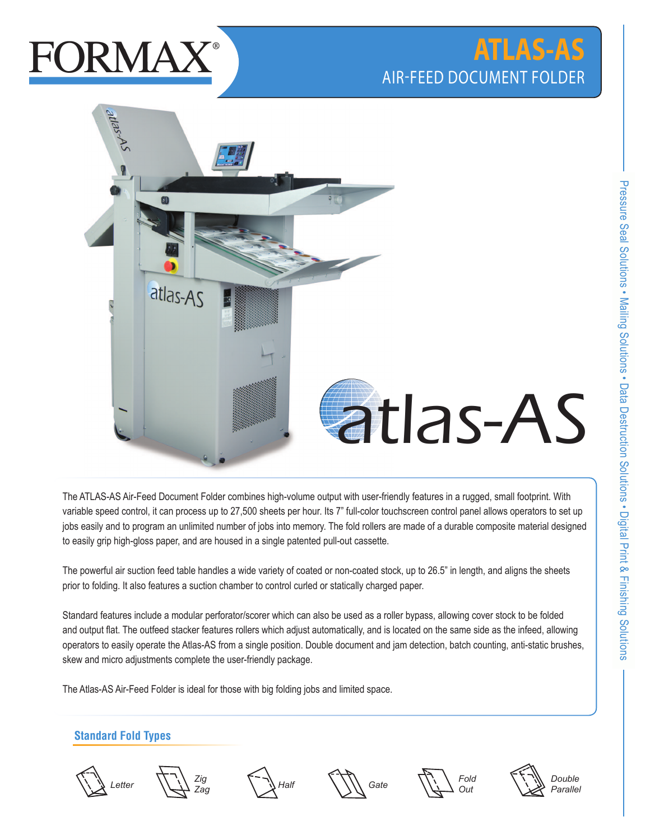# **FORMAY**

## **ATLAS-AS** air-feed document folder



The ATLAS-AS Air-Feed Document Folder combines high-volume output with user-friendly features in a rugged, small footprint. With variable speed control, it can process up to 27,500 sheets per hour. Its 7" full-color touchscreen control panel allows operators to set up jobs easily and to program an unlimited number of jobs into memory. The fold rollers are made of a durable composite material designed to easily grip high-gloss paper, and are housed in a single patented pull-out cassette. t with user-friendly features in a rugge<br>7" full-color touchscreen control panel<br>ie fold rollers are made of a durable co<br>-out cassette.

The powerful air suction feed table handles a wide variety of coated or non-coated stock, up to 26.5" in length, and aligns the sheets prior to folding. It also features a suction chamber to control curled or statically charged paper.

Standard features include a modular perforator/scorer which can also be used as a roller bypass, allowing cover stock to be folded and output flat. The outfeed stacker features rollers which adjust automatically, and is located on the same side as the infeed, allowing operators to easily operate the Atlas-AS from a single position. Double document and jam detection, batch counting, anti-static brushes, skew and micro adjustments complete the user-friendly package.

The Atlas-AS Air-Feed Folder is ideal for those with big folding jobs and limited space.

### **Standard Fold Types**













Pressure Seal Solutions • Mailing Solutions •

Data Destruction Solutions

Digital Print & Finishing Solutions

Pressure Seal Solutions . Mailing Solutions . Data Destruction Solutions . Digital Print & Finishing Solutions